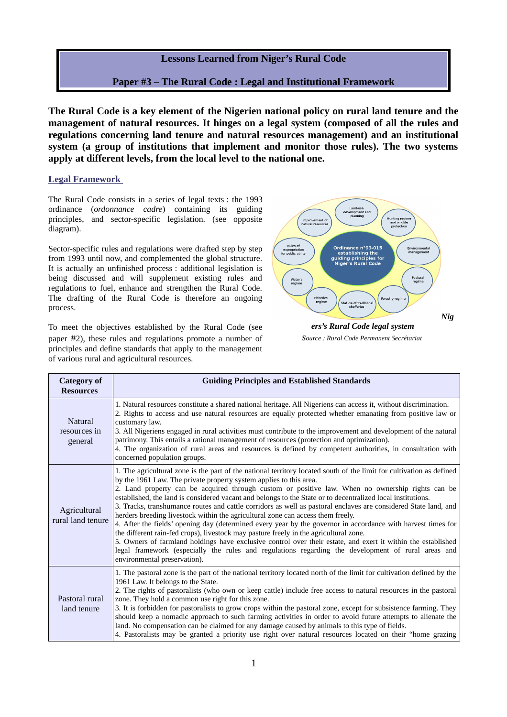

**The Rural Code is a key element of the Nigerien national policy on rural land tenure and the management of natural resources. It hinges on a legal system (composed of all the rules and regulations concerning land tenure and natural resources management) and an institutional system (a group of institutions that implement and monitor those rules). The two systems apply at different levels, from the local level to the national one.**

## **Legal Framework**

The Rural Code consists in a series of legal texts : the 1993 ordinance (*ordonnance cadre*) containing its guiding principles, and sector-specific legislation. (see opposite diagram).

Sector-specific rules and regulations were drafted step by step from 1993 until now, and complemented the global structure. It is actually an unfinished process : additional legislation is being discussed and will supplement existing rules and regulations to fuel, enhance and strengthen the Rural Code. The drafting of the Rural Code is therefore an ongoing process.

To meet the objectives established by the Rural Code (see paper #2), these rules and regulations promote a number of principles and define standards that apply to the management of various rural and agricultural resources.



*source : Rural Code Permanent Secrétariat* 

| <b>Category of</b><br><b>Resources</b> | <b>Guiding Principles and Established Standards</b>                                                                                                                                                                                                                                                                                                                                                                                                                                                                                                                                                                                                                                                                                                                                                                                                                                                                                                                                                                                                                                |
|----------------------------------------|------------------------------------------------------------------------------------------------------------------------------------------------------------------------------------------------------------------------------------------------------------------------------------------------------------------------------------------------------------------------------------------------------------------------------------------------------------------------------------------------------------------------------------------------------------------------------------------------------------------------------------------------------------------------------------------------------------------------------------------------------------------------------------------------------------------------------------------------------------------------------------------------------------------------------------------------------------------------------------------------------------------------------------------------------------------------------------|
| Natural<br>resources in<br>general     | 1. Natural resources constitute a shared national heritage. All Nigeriens can access it, without discrimination.<br>2. Rights to access and use natural resources are equally protected whether emanating from positive law or<br>customary law.<br>3. All Nigeriens engaged in rural activities must contribute to the improvement and development of the natural<br>patrimony. This entails a rational management of resources (protection and optimization).<br>4. The organization of rural areas and resources is defined by competent authorities, in consultation with<br>concerned population groups.                                                                                                                                                                                                                                                                                                                                                                                                                                                                      |
| Agricultural<br>rural land tenure      | 1. The agricultural zone is the part of the national territory located south of the limit for cultivation as defined<br>by the 1961 Law. The private property system applies to this area.<br>2. Land property can be acquired through custom or positive law. When no ownership rights can be<br>established, the land is considered vacant and belongs to the State or to decentralized local institutions.<br>3. Tracks, transhumance routes and cattle corridors as well as pastoral enclaves are considered State land, and<br>herders breeding livestock within the agricultural zone can access them freely.<br>4. After the fields' opening day (determined every year by the governor in accordance with harvest times for<br>the different rain-fed crops), livestock may pasture freely in the agricultural zone.<br>5. Owners of farmland holdings have exclusive control over their estate, and exert it within the established<br>legal framework (especially the rules and regulations regarding the development of rural areas and<br>environmental preservation). |
| Pastoral rural<br>land tenure          | 1. The pastoral zone is the part of the national territory located north of the limit for cultivation defined by the<br>1961 Law. It belongs to the State.<br>2. The rights of pastoralists (who own or keep cattle) include free access to natural resources in the pastoral<br>zone. They hold a common use right for this zone.<br>3. It is forbidden for pastoralists to grow crops within the pastoral zone, except for subsistence farming. They<br>should keep a nomadic approach to such farming activities in order to avoid future attempts to alienate the<br>land. No compensation can be claimed for any damage caused by animals to this type of fields.<br>4. Pastoralists may be granted a priority use right over natural resources located on their "home grazing                                                                                                                                                                                                                                                                                                |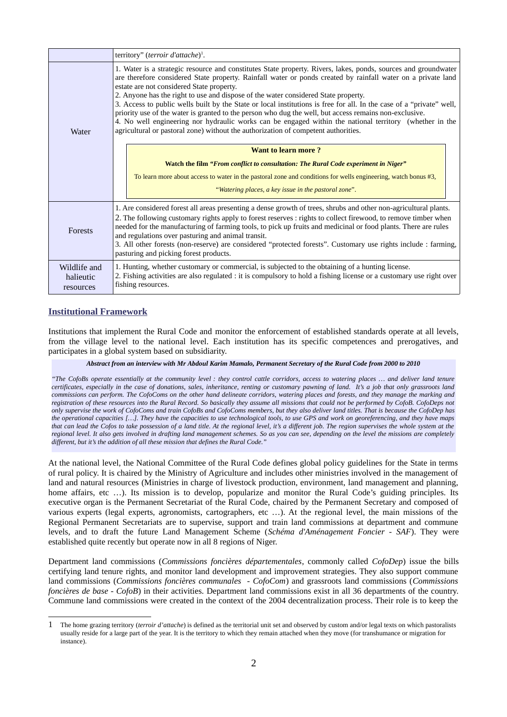|                                        | territory" (terroir d'attache) <sup>1</sup> .                                                                                                                                                                                                                                                                                                                                                                                                                                                                                                                                                                                                                                                                                                                                                        |
|----------------------------------------|------------------------------------------------------------------------------------------------------------------------------------------------------------------------------------------------------------------------------------------------------------------------------------------------------------------------------------------------------------------------------------------------------------------------------------------------------------------------------------------------------------------------------------------------------------------------------------------------------------------------------------------------------------------------------------------------------------------------------------------------------------------------------------------------------|
| Water                                  | 1. Water is a strategic resource and constitutes State property. Rivers, lakes, ponds, sources and groundwater<br>are therefore considered State property. Rainfall water or ponds created by rainfall water on a private land<br>estate are not considered State property.<br>2. Anyone has the right to use and dispose of the water considered State property.<br>3. Access to public wells built by the State or local institutions is free for all. In the case of a "private" well,<br>priority use of the water is granted to the person who dug the well, but access remains non-exclusive.<br>4. No well engineering nor hydraulic works can be engaged within the national territory (whether in the<br>agricultural or pastoral zone) without the authorization of competent authorities. |
|                                        | <b>Want to learn more?</b><br>Watch the film "From conflict to consultation: The Rural Code experiment in Niger"                                                                                                                                                                                                                                                                                                                                                                                                                                                                                                                                                                                                                                                                                     |
|                                        | To learn more about access to water in the pastoral zone and conditions for wells engineering, watch bonus #3,<br>"Watering places, a key issue in the pastoral zone".                                                                                                                                                                                                                                                                                                                                                                                                                                                                                                                                                                                                                               |
| Forests                                | 1. Are considered forest all areas presenting a dense growth of trees, shrubs and other non-agricultural plants.<br>2. The following customary rights apply to forest reserves : rights to collect firewood, to remove timber when<br>needed for the manufacturing of farming tools, to pick up fruits and medicinal or food plants. There are rules<br>and regulations over pasturing and animal transit.<br>3. All other forests (non-reserve) are considered "protected forests". Customary use rights include : farming,<br>pasturing and picking forest products.                                                                                                                                                                                                                               |
| Wildlife and<br>halieutic<br>resources | 1. Hunting, whether customary or commercial, is subjected to the obtaining of a hunting license.<br>2. Fishing activities are also regulated : it is compulsory to hold a fishing license or a customary use right over<br>fishing resources.                                                                                                                                                                                                                                                                                                                                                                                                                                                                                                                                                        |

## **Institutional Framework**

Institutions that implement the Rural Code and monitor the enforcement of established standards operate at all levels, from the village level to the national level. Each institution has its specific competences and prerogatives, and participates in a global system based on subsidiarity.

## *Abstract from an interview with Mr Abdoul Karim Mamalo, Permanent Secretary of the Rural Code from 2000 to 2010*

*"The CofoBs operate essentially at the community level : they control cattle corridors, access to watering places … and deliver land tenure certificates, especially in the case of donations, sales, inheritance, renting or customary pawning of land. It's a job that only grassroots land commissions can perform. The CofoComs on the other hand delineate corridors, watering places and forests, and they manage the marking and registration of these resources into the Rural Record. So basically they assume all missions that could not be performed by CofoB. CofoDeps not only supervise the work of CofoComs and train CofoBs and CofoComs members, but they also deliver land titles. That is because the CofoDep has the operational capacities […]. They have the capacities to use technological tools, to use GPS and work on georeferencing, and they have maps that can lead the Cofos to take possession of a land title. At the regional level, it's a different job. The region supervises the whole system at the regional level. It also gets involved in drafting land management schemes. So as you can see, depending on the level the missions are completely different, but it's the addition of all these mission that defines the Rural Code."*

At the national level, the National Committee of the Rural Code defines global policy guidelines for the State in terms of rural policy. It is chaired by the Ministry of Agriculture and includes other ministries involved in the management of land and natural resources (Ministries in charge of livestock production, environment, land management and planning, home affairs, etc ...). Its mission is to develop, popularize and monitor the Rural Code's guiding principles. Its executive organ is the Permanent Secretariat of the Rural Code, chaired by the Permanent Secretary and composed of various experts (legal experts, agronomists, cartographers, etc …). At the regional level, the main missions of the Regional Permanent Secretariats are to supervise, support and train land commissions at department and commune levels, and to draft the future Land Management Scheme (*Schéma d'Aménagement Foncier - SAF*). They were established quite recently but operate now in all 8 regions of Niger.

Department land commissions (*Commissions foncières départementales*, commonly called *CofoDep*) issue the bills certifying land tenure rights, and monitor land development and improvement strategies. They also support commune land commissions (*Commissions foncières communales - CofoCom*) and grassroots land commissions (*Commissions foncières de base - CofoB*) in their activities. Department land commissions exist in all 36 departments of the country. Commune land commissions were created in the context of the 2004 decentralization process. Their role is to keep the

<span id="page-1-0"></span><sup>1</sup> The home grazing territory (*terroir d'attache*) is defined as the territorial unit set and observed by custom and/or legal texts on which pastoralists usually reside for a large part of the year. It is the territory to which they remain attached when they move (for transhumance or migration for instance).